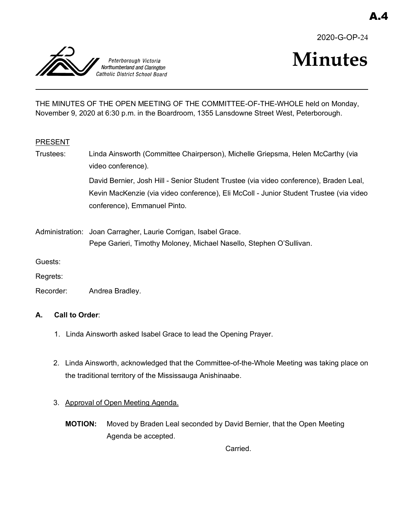



# **Minutes**

THE MINUTES OF THE OPEN MEETING OF THE COMMITTEE-OF-THE-WHOLE held on Monday, November 9, 2020 at 6:30 p.m. in the Boardroom, 1355 Lansdowne Street West, Peterborough.

## PRESENT

Trustees: Linda Ainsworth (Committee Chairperson), Michelle Griepsma, Helen McCarthy (via video conference). David Bernier, Josh Hill - Senior Student Trustee (via video conference), Braden Leal,

Kevin MacKenzie (via video conference), Eli McColl - Junior Student Trustee (via video conference), Emmanuel Pinto.

Administration: Joan Carragher, Laurie Corrigan, Isabel Grace. Pepe Garieri, Timothy Moloney, Michael Nasello, Stephen O'Sullivan.

Guests:

Regrets:

Recorder: Andrea Bradley.

## **A. Call to Order**:

- 1. Linda Ainsworth asked Isabel Grace to lead the Opening Prayer.
- 2. Linda Ainsworth, acknowledged that the Committee-of-the-Whole Meeting was taking place on the traditional territory of the Mississauga Anishinaabe.
- 3. Approval of Open Meeting Agenda.
	- **MOTION:** Moved by Braden Leal seconded by David Bernier, that the Open Meeting Agenda be accepted.

Carried.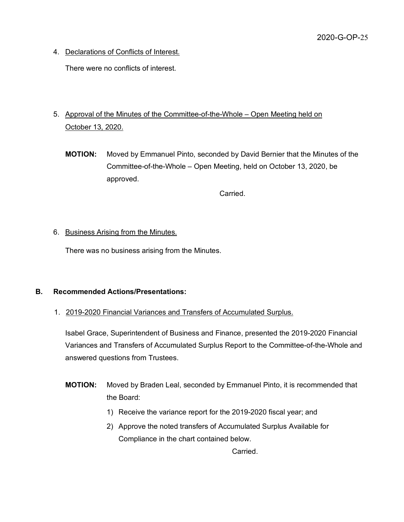4. Declarations of Conflicts of Interest.

There were no conflicts of interest.

- 5. Approval of the Minutes of the Committee-of-the-Whole Open Meeting held on October 13, 2020.
	- **MOTION:** Moved by Emmanuel Pinto, seconded by David Bernier that the Minutes of the Committee-of-the-Whole – Open Meeting, held on October 13, 2020, be approved.

Carried.

## 6. Business Arising from the Minutes.

There was no business arising from the Minutes.

## **B. Recommended Actions/Presentations:**

1. 2019-2020 Financial Variances and Transfers of Accumulated Surplus.

Isabel Grace, Superintendent of Business and Finance, presented the 2019-2020 Financial Variances and Transfers of Accumulated Surplus Report to the Committee-of-the-Whole and answered questions from Trustees.

- **MOTION:** Moved by Braden Leal, seconded by Emmanuel Pinto, it is recommended that the Board:
	- 1) Receive the variance report for the 2019-2020 fiscal year; and
	- 2) Approve the noted transfers of Accumulated Surplus Available for Compliance in the chart contained below.

**Carried**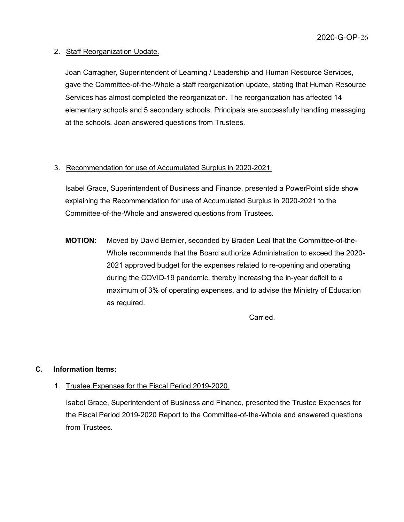## 2. Staff Reorganization Update.

Joan Carragher, Superintendent of Learning / Leadership and Human Resource Services, gave the Committee-of-the-Whole a staff reorganization update, stating that Human Resource Services has almost completed the reorganization. The reorganization has affected 14 elementary schools and 5 secondary schools. Principals are successfully handling messaging at the schools. Joan answered questions from Trustees.

# 3. Recommendation for use of Accumulated Surplus in 2020-2021.

Isabel Grace, Superintendent of Business and Finance, presented a PowerPoint slide show explaining the Recommendation for use of Accumulated Surplus in 2020-2021 to the Committee-of-the-Whole and answered questions from Trustees.

**MOTION:** Moved by David Bernier, seconded by Braden Leal that the Committee-of-the-Whole recommends that the Board authorize Administration to exceed the 2020- 2021 approved budget for the expenses related to re-opening and operating during the COVID-19 pandemic, thereby increasing the in-year deficit to a maximum of 3% of operating expenses, and to advise the Ministry of Education as required.

**Carried** 

# **C. Information Items:**

# 1. Trustee Expenses for the Fiscal Period 2019-2020.

Isabel Grace, Superintendent of Business and Finance, presented the Trustee Expenses for the Fiscal Period 2019-2020 Report to the Committee-of-the-Whole and answered questions from Trustees.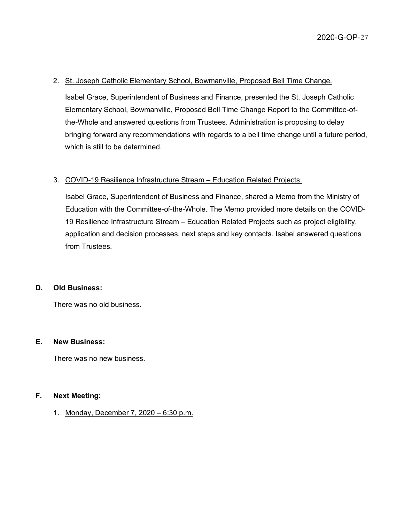## 2. St. Joseph Catholic Elementary School, Bowmanville, Proposed Bell Time Change.

Isabel Grace, Superintendent of Business and Finance, presented the St. Joseph Catholic Elementary School, Bowmanville, Proposed Bell Time Change Report to the Committee-ofthe-Whole and answered questions from Trustees. Administration is proposing to delay bringing forward any recommendations with regards to a bell time change until a future period, which is still to be determined.

## 3. COVID-19 Resilience Infrastructure Stream – Education Related Projects.

Isabel Grace, Superintendent of Business and Finance, shared a Memo from the Ministry of Education with the Committee-of-the-Whole. The Memo provided more details on the COVID-19 Resilience Infrastructure Stream – Education Related Projects such as project eligibility, application and decision processes, next steps and key contacts. Isabel answered questions from Trustees.

## **D. Old Business:**

There was no old business.

#### **E. New Business:**

There was no new business.

## **F. Next Meeting:**

1. Monday, December 7, 2020 – 6:30 p.m.